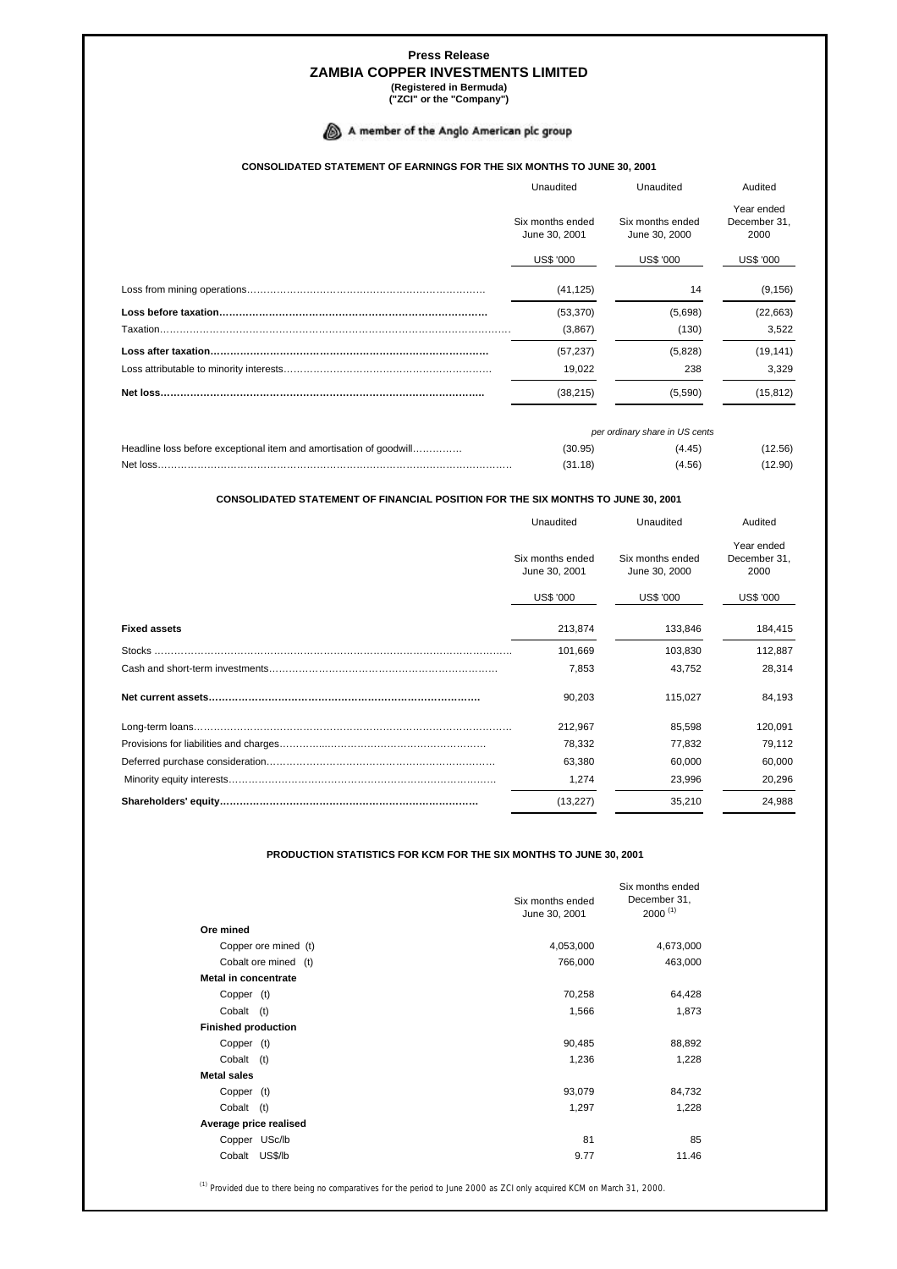# **Press Release ZAMBIA COPPER INVESTMENTS LIMITED**

**(Registered in Bermuda) ("ZCI" or the "Company")**

## A member of the Anglo American plc group

### **CONSOLIDATED STATEMENT OF EARNINGS FOR THE SIX MONTHS TO JUNE 30, 2001**

|           | Unaudited                         | Unaudited                         | Audited                            |  |
|-----------|-----------------------------------|-----------------------------------|------------------------------------|--|
|           | Six months ended<br>June 30, 2001 | Six months ended<br>June 30, 2000 | Year ended<br>December 31,<br>2000 |  |
|           | <b>US\$ '000</b>                  | <b>US\$ '000</b>                  | <b>US\$ '000</b>                   |  |
|           | (41, 125)                         | 14                                | (9, 156)                           |  |
|           | (53, 370)                         | (5,698)                           | (22, 663)                          |  |
|           | (3,867)                           | (130)                             | 3.522                              |  |
|           | (57, 237)                         | (5,828)                           | (19, 141)                          |  |
|           | 19,022                            | 238                               | 3,329                              |  |
| Net loss. | (38, 215)                         | (5,590)                           | (15, 812)                          |  |

|                                                                    | per ordinary share in US cents |        |         |
|--------------------------------------------------------------------|--------------------------------|--------|---------|
| Headline loss before exceptional item and amortisation of goodwill | (30.95)                        | (4.45) | (12.56) |
| Net loss                                                           | (31.18)                        | (4.56) | (12.90) |

#### **CONSOLIDATED STATEMENT OF FINANCIAL POSITION FOR THE SIX MONTHS TO JUNE 30, 2001**

|                     | Unaudited                         | Unaudited                         | Audited                            |  |
|---------------------|-----------------------------------|-----------------------------------|------------------------------------|--|
|                     | Six months ended<br>June 30, 2001 | Six months ended<br>June 30, 2000 | Year ended<br>December 31,<br>2000 |  |
|                     | <b>US\$ '000</b>                  | US\$ '000                         | <b>US\$ '000</b>                   |  |
| <b>Fixed assets</b> | 213,874                           | 133,846                           | 184,415                            |  |
| <b>Stocks</b>       | 101,669                           | 103,830                           | 112,887                            |  |
|                     | 7,853                             | 43,752                            | 28,314                             |  |
|                     | 90,203                            | 115,027                           | 84,193                             |  |
|                     | 212,967                           | 85,598                            | 120,091                            |  |
|                     | 78,332                            | 77,832                            | 79,112                             |  |
|                     | 63,380                            | 60,000                            | 60,000                             |  |
|                     | 1,274                             | 23,996                            | 20,296                             |  |
|                     | (13, 227)                         | 35,210                            | 24,988                             |  |

### **PRODUCTION STATISTICS FOR KCM FOR THE SIX MONTHS TO JUNE 30, 2001**

|                            | Six months ended<br>June 30, 2001 | Six months ended<br>December 31,<br>$2000^{(1)}$ |
|----------------------------|-----------------------------------|--------------------------------------------------|
| Ore mined                  |                                   |                                                  |
| Copper ore mined (t)       | 4,053,000                         | 4,673,000                                        |
| Cobalt ore mined (t)       | 766,000                           | 463,000                                          |
| Metal in concentrate       |                                   |                                                  |
| Copper (t)                 | 70,258                            | 64,428                                           |
| Cobalt<br>(t)              | 1,566                             | 1,873                                            |
| <b>Finished production</b> |                                   |                                                  |
| Copper (t)                 | 90,485                            | 88,892                                           |
| Cobalt (t)                 | 1,236                             | 1,228                                            |
| <b>Metal sales</b>         |                                   |                                                  |
| Copper (t)                 | 93,079                            | 84,732                                           |
| Cobalt<br>(t)              | 1,297                             | 1,228                                            |
| Average price realised     |                                   |                                                  |
| Copper USc/lb              | 81                                | 85                                               |
| Cobalt<br>US\$/lb          | 9.77                              | 11.46                                            |

(1) Provided due to there being no comparatives for the period to June 2000 as ZCI only acquired KCM on March 31, 2000.